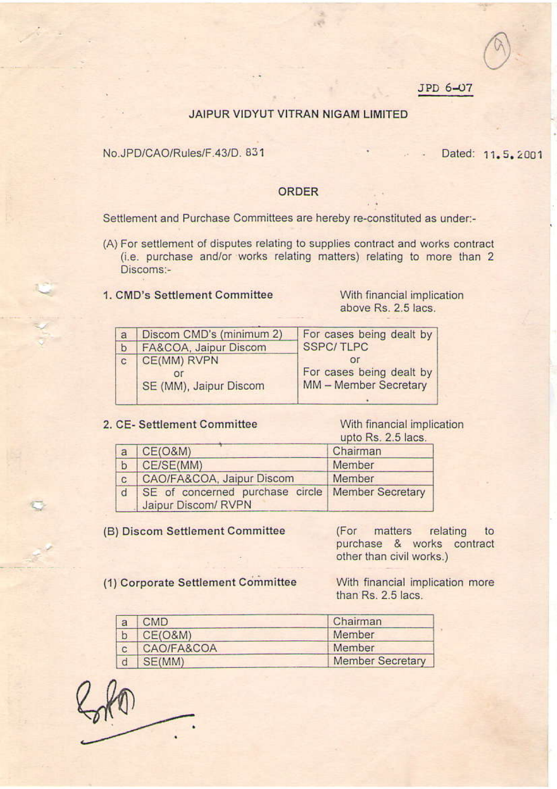## JPD 6-07

## JAIPUR VIDYUT VITRAN NIGAM LIMITED

## No.JPD/CAO/Rules/F.43/D. 831

Dated: 11.5.2001

#### **ORDER**

Settlement and Purchase Committees are hereby re-constituted as under:-

(A) For settlement of disputes relating to supplies contract and works contract (i.e. purchase and/or works relating matters) relating to more than 2 Discoms:-

# 1. CMD's Settlement Committee

With financial implication above Rs. 2.5 lacs.

| $\overline{a}$ | Discom CMD's (minimum 2) | For cases being dealt by |
|----------------|--------------------------|--------------------------|
| $\mathbf b$    | FA&COA, Jaipur Discom    | <b>SSPC/TLPC</b>         |
| с              | CE(MM) RVPN              |                          |
|                |                          | For cases being dealt by |
|                | SE (MM), Jaipur Discom   | MM - Member Secretary    |
|                |                          |                          |

#### 2. CE- Settlement Committee

With financial implication upto Rs. 2.5 lacs.

| a           | CE(O&M)                                                                   | Chairman |
|-------------|---------------------------------------------------------------------------|----------|
| $\mathbf b$ | CE/SE(MM)                                                                 | Member   |
| C           | CAO/FA&COA, Jaipur Discom                                                 | Member   |
|             | SE of concerned purchase circle   Member Secretary<br>Jaipur Discom/ RVPN |          |

(B) Discom Settlement Committee

(For matters relating to purchase & works contract other than civil works.)

(1) Corporate Settlement Committee

With financial implication more than Rs. 2.5 lacs.

| a | CMD.       | Chairman                |
|---|------------|-------------------------|
|   | CE(O&M)    | Member                  |
|   | CAO/FA&COA | Member                  |
|   | SE(MM)     | <b>Member Secretary</b> |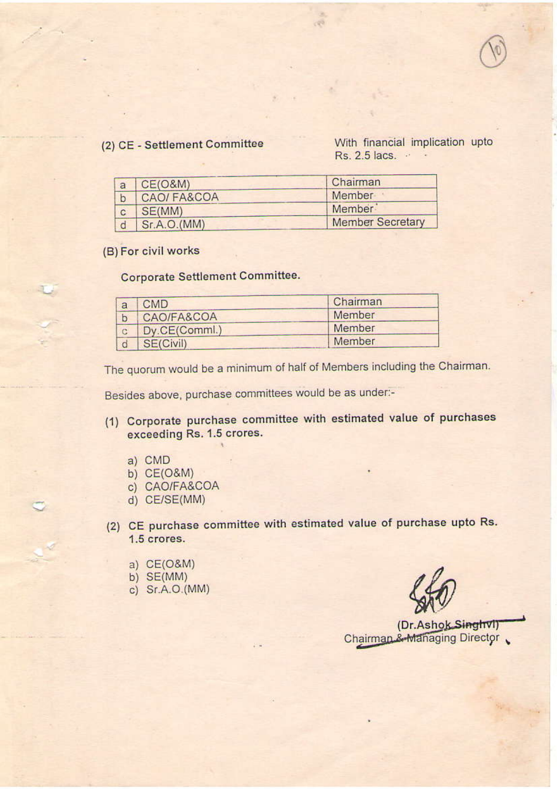## (2) CE - Settlement Committee

With financial implication upto Rs. 2.5 lacs. . .

| a | <b>CE(O&amp;M)</b> | Chairman                |
|---|--------------------|-------------------------|
|   | CAO/FA&COA         | Member                  |
|   | SE(MM)             | Member                  |
|   | Sr.A.O.(MM)        | <b>Member Secretary</b> |

(B) For civil works

# **Corporate Settlement Committee.**

| <b>CMD</b>    | Chairman |
|---------------|----------|
| CAO/FA&COA    | Member   |
| Dy.CE(Comml.) | Member   |
| SE(Civil)     | Member   |

The quorum would be a minimum of half of Members including the Chairman.

Besides above, purchase committees would be as under:-

- (1) Corporate purchase committee with estimated value of purchases exceeding Rs. 1.5 crores.
	- a) CMD
	- b) CE(O&M)
	- c) CAO/FA&COA
	- d) CE/SE(MM)
- (2) CE purchase committee with estimated value of purchase upto Rs. 1.5 crores.
	- a) CE(O&M)
	- b)  $SE(MM)$
	- c) Sr.A.O.(MM)

(Dr.Ashok Singhvi) Chairman & Managing Director